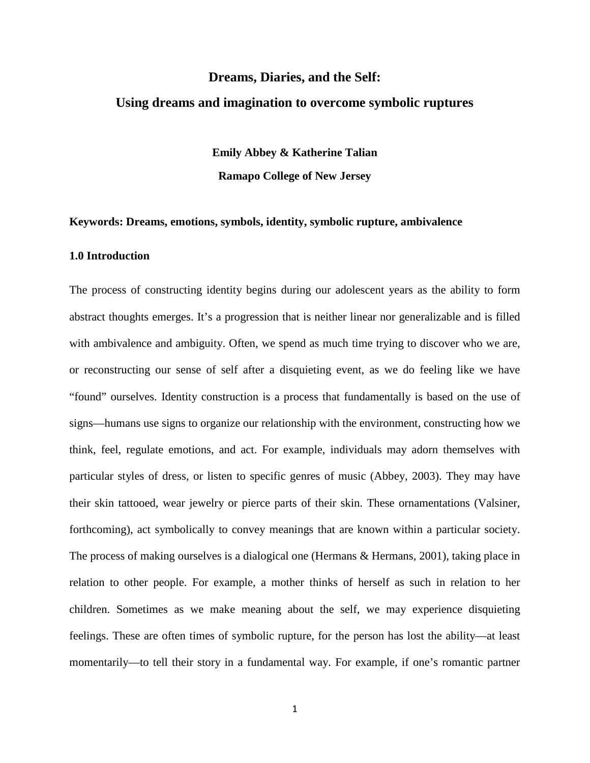# **Dreams, Diaries, and the Self: Using dreams and imagination to overcome symbolic ruptures**

**Emily Abbey & Katherine Talian Ramapo College of New Jersey**

#### **Keywords: Dreams, emotions, symbols, identity, symbolic rupture, ambivalence**

# **1.0 Introduction**

The process of constructing identity begins during our adolescent years as the ability to form abstract thoughts emerges. It's a progression that is neither linear nor generalizable and is filled with ambivalence and ambiguity. Often, we spend as much time trying to discover who we are, or reconstructing our sense of self after a disquieting event, as we do feeling like we have "found" ourselves. Identity construction is a process that fundamentally is based on the use of signs—humans use signs to organize our relationship with the environment, constructing how we think, feel, regulate emotions, and act. For example, individuals may adorn themselves with particular styles of dress, or listen to specific genres of music (Abbey, 2003). They may have their skin tattooed, wear jewelry or pierce parts of their skin. These ornamentations (Valsiner, forthcoming), act symbolically to convey meanings that are known within a particular society. The process of making ourselves is a dialogical one (Hermans & Hermans, 2001), taking place in relation to other people. For example, a mother thinks of herself as such in relation to her children. Sometimes as we make meaning about the self, we may experience disquieting feelings. These are often times of symbolic rupture, for the person has lost the ability—at least momentarily—to tell their story in a fundamental way. For example, if one's romantic partner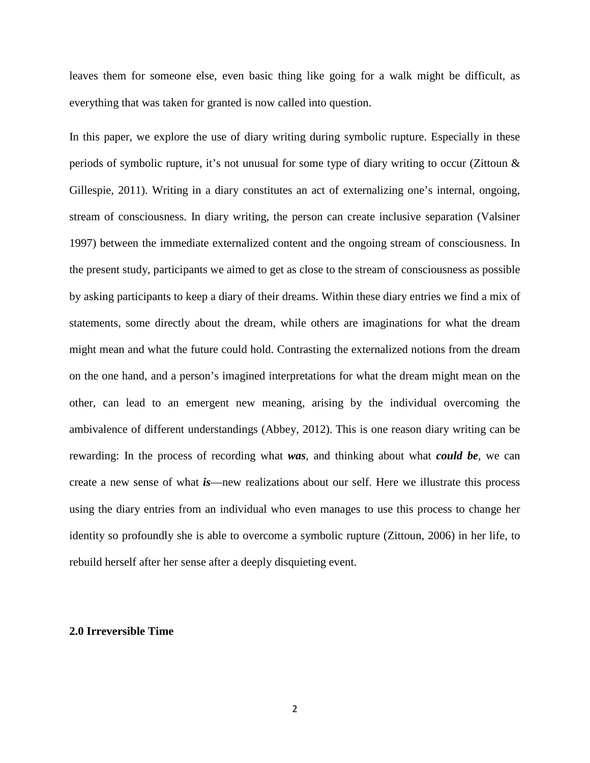leaves them for someone else, even basic thing like going for a walk might be difficult, as everything that was taken for granted is now called into question.

In this paper, we explore the use of diary writing during symbolic rupture. Especially in these periods of symbolic rupture, it's not unusual for some type of diary writing to occur (Zittoun & Gillespie, 2011). Writing in a diary constitutes an act of externalizing one's internal, ongoing, stream of consciousness. In diary writing, the person can create inclusive separation (Valsiner 1997) between the immediate externalized content and the ongoing stream of consciousness. In the present study, participants we aimed to get as close to the stream of consciousness as possible by asking participants to keep a diary of their dreams. Within these diary entries we find a mix of statements, some directly about the dream, while others are imaginations for what the dream might mean and what the future could hold. Contrasting the externalized notions from the dream on the one hand, and a person's imagined interpretations for what the dream might mean on the other, can lead to an emergent new meaning, arising by the individual overcoming the ambivalence of different understandings (Abbey, 2012). This is one reason diary writing can be rewarding: In the process of recording what *was*, and thinking about what *could be*, we can create a new sense of what *is*—new realizations about our self. Here we illustrate this process using the diary entries from an individual who even manages to use this process to change her identity so profoundly she is able to overcome a symbolic rupture (Zittoun, 2006) in her life, to rebuild herself after her sense after a deeply disquieting event.

### **2.0 Irreversible Time**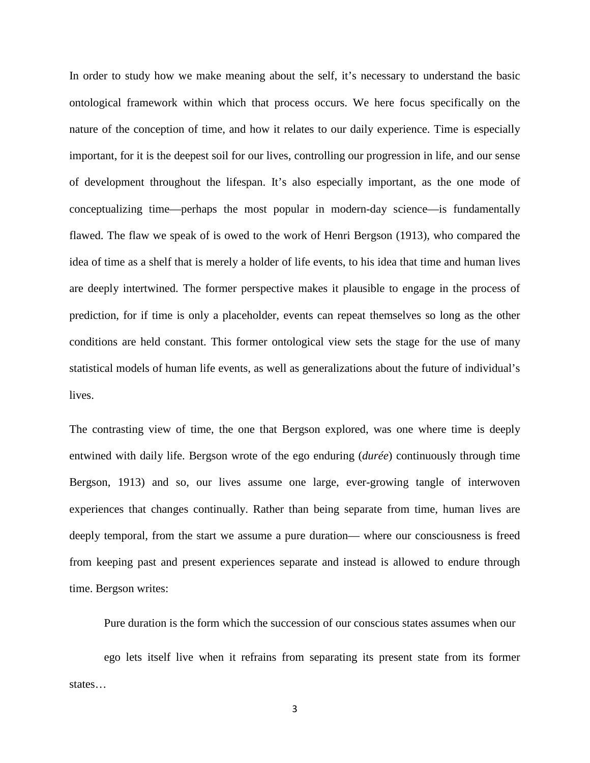In order to study how we make meaning about the self, it's necessary to understand the basic ontological framework within which that process occurs. We here focus specifically on the nature of the conception of time, and how it relates to our daily experience. Time is especially important, for it is the deepest soil for our lives, controlling our progression in life, and our sense of development throughout the lifespan. It's also especially important, as the one mode of conceptualizing time—perhaps the most popular in modern-day science—is fundamentally flawed. The flaw we speak of is owed to the work of Henri Bergson (1913), who compared the idea of time as a shelf that is merely a holder of life events, to his idea that time and human lives are deeply intertwined. The former perspective makes it plausible to engage in the process of prediction, for if time is only a placeholder, events can repeat themselves so long as the other conditions are held constant. This former ontological view sets the stage for the use of many statistical models of human life events, as well as generalizations about the future of individual's lives.

The contrasting view of time, the one that Bergson explored, was one where time is deeply entwined with daily life. Bergson wrote of the ego enduring (*durée*) continuously through time Bergson, 1913) and so, our lives assume one large, ever-growing tangle of interwoven experiences that changes continually. Rather than being separate from time, human lives are deeply temporal, from the start we assume a pure duration— where our consciousness is freed from keeping past and present experiences separate and instead is allowed to endure through time. Bergson writes:

Pure duration is the form which the succession of our conscious states assumes when our

ego lets itself live when it refrains from separating its present state from its former states…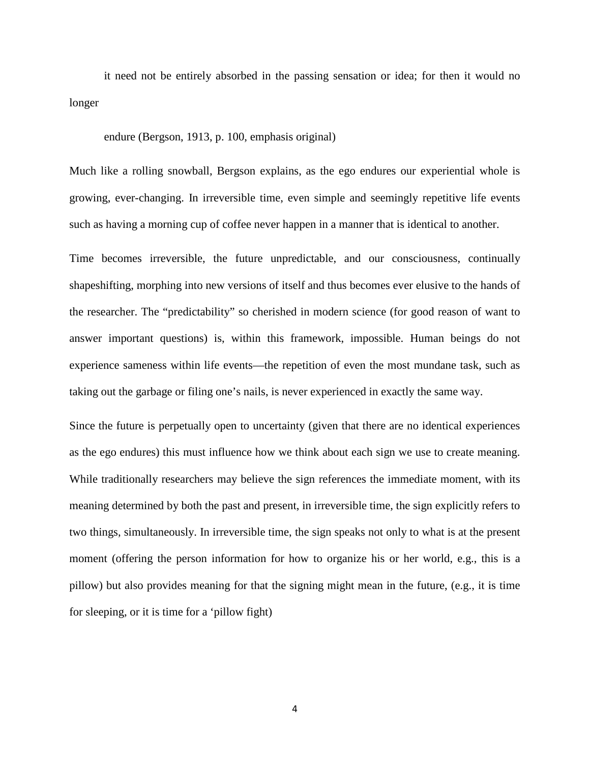it need not be entirely absorbed in the passing sensation or idea; for then it would no longer

endure (Bergson, 1913, p. 100, emphasis original)

Much like a rolling snowball, Bergson explains, as the ego endures our experiential whole is growing, ever-changing. In irreversible time, even simple and seemingly repetitive life events such as having a morning cup of coffee never happen in a manner that is identical to another.

Time becomes irreversible, the future unpredictable, and our consciousness, continually shapeshifting, morphing into new versions of itself and thus becomes ever elusive to the hands of the researcher. The "predictability" so cherished in modern science (for good reason of want to answer important questions) is, within this framework, impossible. Human beings do not experience sameness within life events—the repetition of even the most mundane task, such as taking out the garbage or filing one's nails, is never experienced in exactly the same way.

Since the future is perpetually open to uncertainty (given that there are no identical experiences as the ego endures) this must influence how we think about each sign we use to create meaning. While traditionally researchers may believe the sign references the immediate moment, with its meaning determined by both the past and present, in irreversible time, the sign explicitly refers to two things, simultaneously. In irreversible time, the sign speaks not only to what is at the present moment (offering the person information for how to organize his or her world, e.g., this is a pillow) but also provides meaning for that the signing might mean in the future, (e.g., it is time for sleeping, or it is time for a 'pillow fight)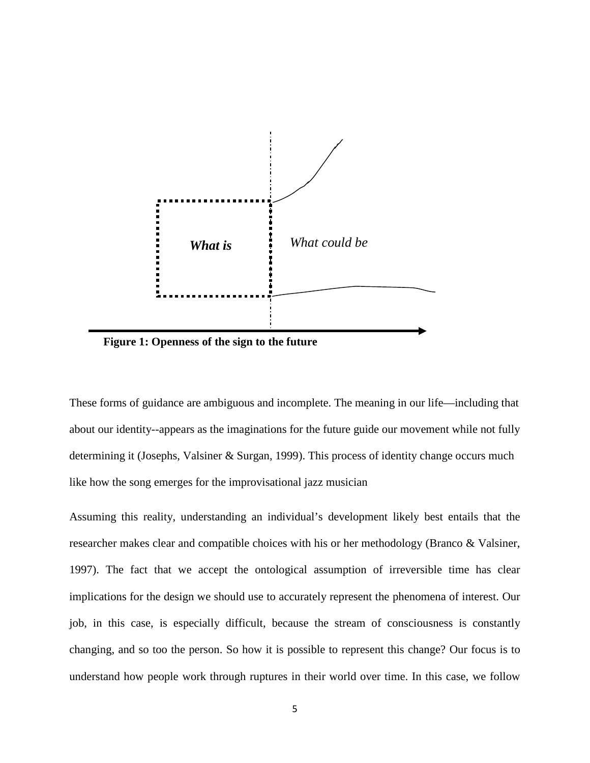

**Figure 1: Openness of the sign to the future**

These forms of guidance are ambiguous and incomplete. The meaning in our life—including that about our identity--appears as the imaginations for the future guide our movement while not fully determining it (Josephs, Valsiner & Surgan, 1999). This process of identity change occurs much like how the song emerges for the improvisational jazz musician

Assuming this reality, understanding an individual's development likely best entails that the researcher makes clear and compatible choices with his or her methodology (Branco & Valsiner, 1997). The fact that we accept the ontological assumption of irreversible time has clear implications for the design we should use to accurately represent the phenomena of interest. Our job, in this case, is especially difficult, because the stream of consciousness is constantly changing, and so too the person. So how it is possible to represent this change? Our focus is to understand how people work through ruptures in their world over time. In this case, we follow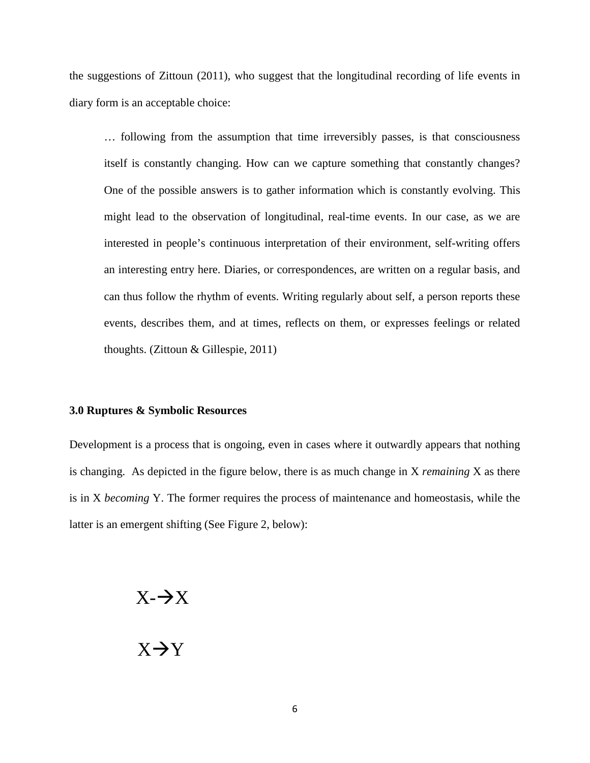the suggestions of Zittoun (2011), who suggest that the longitudinal recording of life events in diary form is an acceptable choice:

… following from the assumption that time irreversibly passes, is that consciousness itself is constantly changing. How can we capture something that constantly changes? One of the possible answers is to gather information which is constantly evolving. This might lead to the observation of longitudinal, real-time events. In our case, as we are interested in people's continuous interpretation of their environment, self-writing offers an interesting entry here. Diaries, or correspondences, are written on a regular basis, and can thus follow the rhythm of events. Writing regularly about self, a person reports these events, describes them, and at times, reflects on them, or expresses feelings or related thoughts. (Zittoun & Gillespie, 2011)

#### **3.0 Ruptures & Symbolic Resources**

Development is a process that is ongoing, even in cases where it outwardly appears that nothing is changing. As depicted in the figure below, there is as much change in X *remaining* X as there is in X *becoming* Y. The former requires the process of maintenance and homeostasis, while the latter is an emergent shifting (See Figure 2, below):

# $X - \rightarrow X$

# $X \rightarrow Y$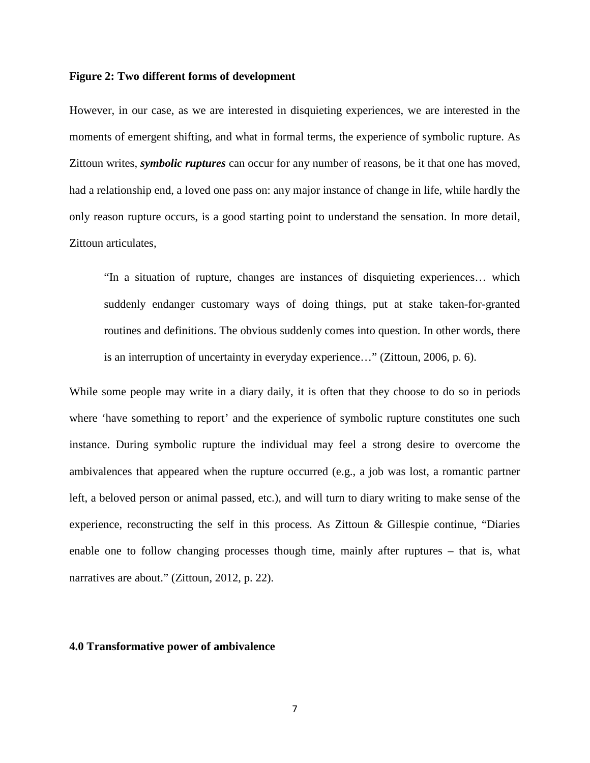#### **Figure 2: Two different forms of development**

However, in our case, as we are interested in disquieting experiences, we are interested in the moments of emergent shifting, and what in formal terms, the experience of symbolic rupture. As Zittoun writes, *symbolic ruptures* can occur for any number of reasons, be it that one has moved, had a relationship end, a loved one pass on: any major instance of change in life, while hardly the only reason rupture occurs, is a good starting point to understand the sensation. In more detail, Zittoun articulates,

"In a situation of rupture, changes are instances of disquieting experiences… which suddenly endanger customary ways of doing things, put at stake taken-for-granted routines and definitions. The obvious suddenly comes into question. In other words, there is an interruption of uncertainty in everyday experience…" (Zittoun, 2006, p. 6).

While some people may write in a diary daily, it is often that they choose to do so in periods where 'have something to report' and the experience of symbolic rupture constitutes one such instance. During symbolic rupture the individual may feel a strong desire to overcome the ambivalences that appeared when the rupture occurred (e.g., a job was lost, a romantic partner left, a beloved person or animal passed, etc.), and will turn to diary writing to make sense of the experience, reconstructing the self in this process. As Zittoun & Gillespie continue, "Diaries enable one to follow changing processes though time, mainly after ruptures – that is, what narratives are about." (Zittoun, 2012, p. 22).

# **4.0 Transformative power of ambivalence**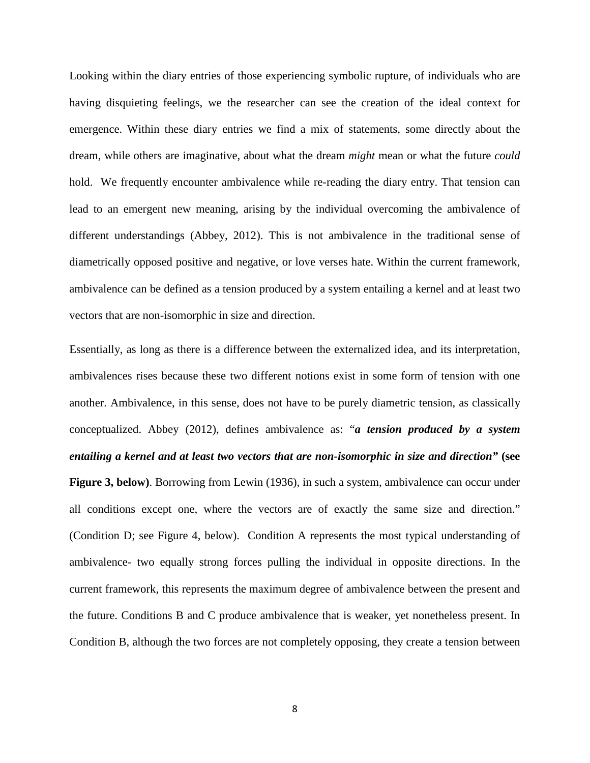Looking within the diary entries of those experiencing symbolic rupture, of individuals who are having disquieting feelings, we the researcher can see the creation of the ideal context for emergence. Within these diary entries we find a mix of statements, some directly about the dream, while others are imaginative, about what the dream *might* mean or what the future *could* hold. We frequently encounter ambivalence while re-reading the diary entry. That tension can lead to an emergent new meaning, arising by the individual overcoming the ambivalence of different understandings (Abbey, 2012). This is not ambivalence in the traditional sense of diametrically opposed positive and negative, or love verses hate. Within the current framework, ambivalence can be defined as a tension produced by a system entailing a kernel and at least two vectors that are non-isomorphic in size and direction.

Essentially, as long as there is a difference between the externalized idea, and its interpretation, ambivalences rises because these two different notions exist in some form of tension with one another. Ambivalence, in this sense, does not have to be purely diametric tension, as classically conceptualized. Abbey (2012), defines ambivalence as: "*a tension produced by a system entailing a kernel and at least two vectors that are non-isomorphic in size and direction"* **(see Figure 3, below)**. Borrowing from Lewin (1936), in such a system, ambivalence can occur under all conditions except one, where the vectors are of exactly the same size and direction." (Condition D; see Figure 4, below). Condition A represents the most typical understanding of ambivalence- two equally strong forces pulling the individual in opposite directions. In the current framework, this represents the maximum degree of ambivalence between the present and the future. Conditions B and C produce ambivalence that is weaker, yet nonetheless present. In Condition B, although the two forces are not completely opposing, they create a tension between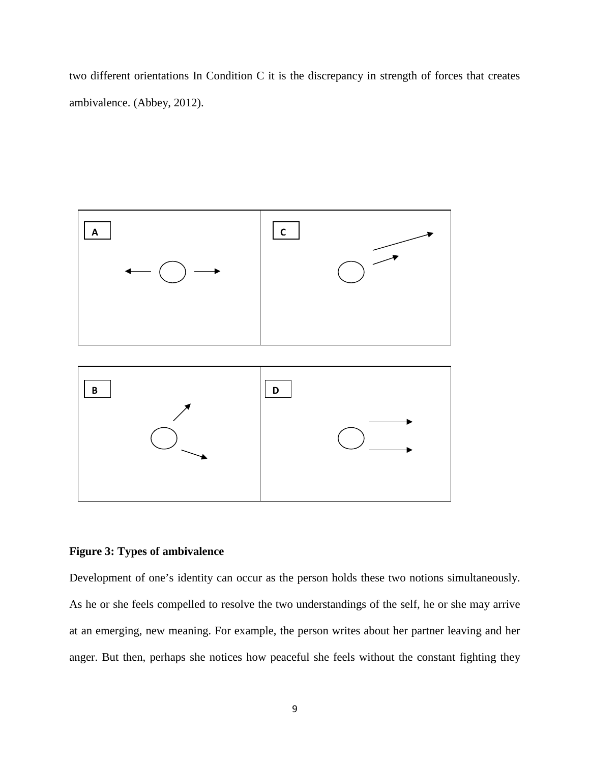two different orientations In Condition C it is the discrepancy in strength of forces that creates ambivalence. (Abbey, 2012).



### **Figure 3: Types of ambivalence**

Development of one's identity can occur as the person holds these two notions simultaneously. As he or she feels compelled to resolve the two understandings of the self, he or she may arrive at an emerging, new meaning. For example, the person writes about her partner leaving and her anger. But then, perhaps she notices how peaceful she feels without the constant fighting they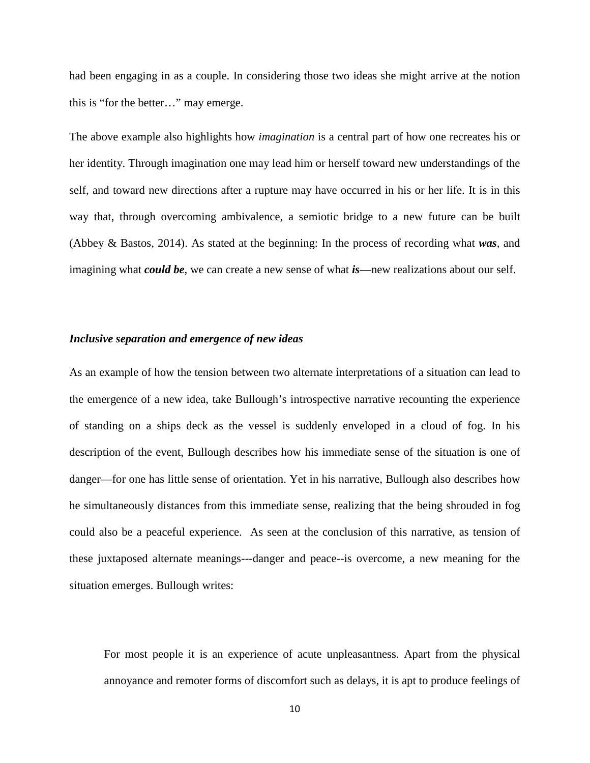had been engaging in as a couple. In considering those two ideas she might arrive at the notion this is "for the better…" may emerge.

The above example also highlights how *imagination* is a central part of how one recreates his or her identity. Through imagination one may lead him or herself toward new understandings of the self, and toward new directions after a rupture may have occurred in his or her life. It is in this way that, through overcoming ambivalence, a semiotic bridge to a new future can be built (Abbey & Bastos, 2014). As stated at the beginning: In the process of recording what *was*, and imagining what *could be*, we can create a new sense of what *is*—new realizations about our self.

#### *Inclusive separation and emergence of new ideas*

As an example of how the tension between two alternate interpretations of a situation can lead to the emergence of a new idea, take Bullough's introspective narrative recounting the experience of standing on a ships deck as the vessel is suddenly enveloped in a cloud of fog. In his description of the event, Bullough describes how his immediate sense of the situation is one of danger—for one has little sense of orientation. Yet in his narrative, Bullough also describes how he simultaneously distances from this immediate sense, realizing that the being shrouded in fog could also be a peaceful experience. As seen at the conclusion of this narrative, as tension of these juxtaposed alternate meanings---danger and peace--is overcome, a new meaning for the situation emerges. Bullough writes:

For most people it is an experience of acute unpleasantness. Apart from the physical annoyance and remoter forms of discomfort such as delays, it is apt to produce feelings of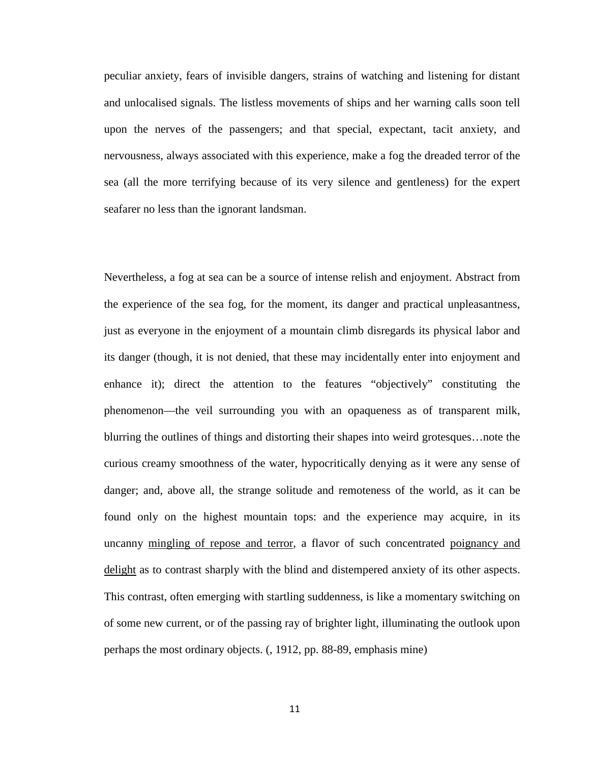peculiar anxiety, fears of invisible dangers, strains of watching and listening for distant and unlocalised signals. The listless movements of ships and her warning calls soon tell upon the nerves of the passengers; and that special, expectant, tacit anxiety, and nervousness, always associated with this experience, make a fog the dreaded terror of the sea (all the more terrifying because of its very silence and gentleness) for the expert seafarer no less than the ignorant landsman.

Nevertheless, a fog at sea can be a source of intense relish and enjoyment. Abstract from the experience of the sea fog, for the moment, its danger and practical unpleasantness, just as everyone in the enjoyment of a mountain climb disregards its physical labor and its danger (though, it is not denied, that these may incidentally enter into enjoyment and enhance it); direct the attention to the features "objectively" constituting the phenomenon—the veil surrounding you with an opaqueness as of transparent milk, blurring the outlines of things and distorting their shapes into weird grotesques…note the curious creamy smoothness of the water, hypocritically denying as it were any sense of danger; and, above all, the strange solitude and remoteness of the world, as it can be found only on the highest mountain tops: and the experience may acquire, in its uncanny mingling of repose and terror, a flavor of such concentrated poignancy and delight as to contrast sharply with the blind and distempered anxiety of its other aspects. This contrast, often emerging with startling suddenness, is like a momentary switching on of some new current, or of the passing ray of brighter light, illuminating the outlook upon perhaps the most ordinary objects. (, 1912, pp. 88-89, emphasis mine)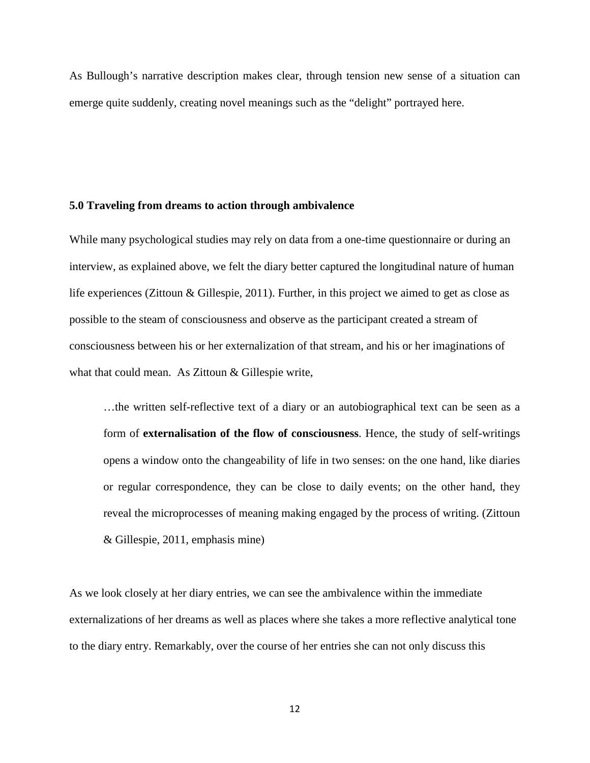As Bullough's narrative description makes clear, through tension new sense of a situation can emerge quite suddenly, creating novel meanings such as the "delight" portrayed here.

#### **5.0 Traveling from dreams to action through ambivalence**

While many psychological studies may rely on data from a one-time questionnaire or during an interview, as explained above, we felt the diary better captured the longitudinal nature of human life experiences (Zittoun & Gillespie, 2011). Further, in this project we aimed to get as close as possible to the steam of consciousness and observe as the participant created a stream of consciousness between his or her externalization of that stream, and his or her imaginations of what that could mean. As Zittoun & Gillespie write,

…the written self-reflective text of a diary or an autobiographical text can be seen as a form of **externalisation of the flow of consciousness**. Hence, the study of self-writings opens a window onto the changeability of life in two senses: on the one hand, like diaries or regular correspondence, they can be close to daily events; on the other hand, they reveal the microprocesses of meaning making engaged by the process of writing. (Zittoun & Gillespie, 2011, emphasis mine)

As we look closely at her diary entries, we can see the ambivalence within the immediate externalizations of her dreams as well as places where she takes a more reflective analytical tone to the diary entry. Remarkably, over the course of her entries she can not only discuss this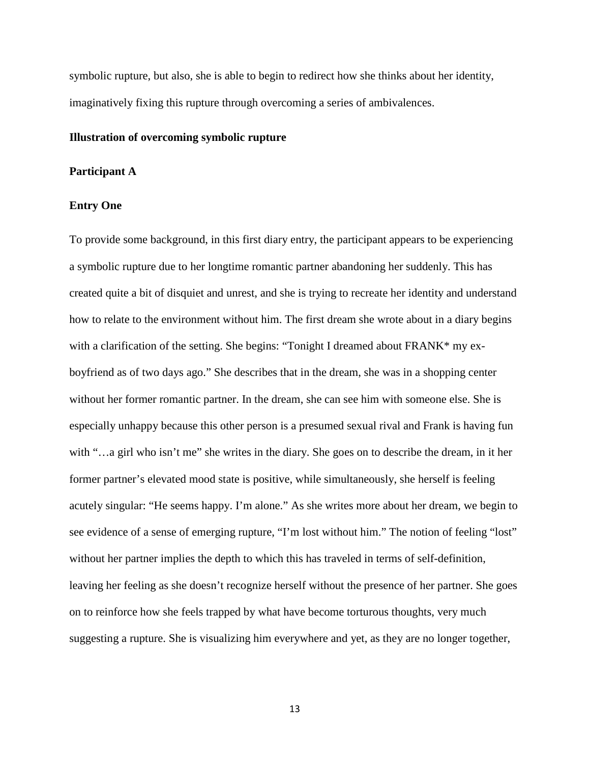symbolic rupture, but also, she is able to begin to redirect how she thinks about her identity, imaginatively fixing this rupture through overcoming a series of ambivalences.

#### **Illustration of overcoming symbolic rupture**

#### **Participant A**

#### **Entry One**

To provide some background, in this first diary entry, the participant appears to be experiencing a symbolic rupture due to her longtime romantic partner abandoning her suddenly. This has created quite a bit of disquiet and unrest, and she is trying to recreate her identity and understand how to relate to the environment without him. The first dream she wrote about in a diary begins with a clarification of the setting. She begins: "Tonight I dreamed about FRANK\* my exboyfriend as of two days ago." She describes that in the dream, she was in a shopping center without her former romantic partner. In the dream, she can see him with someone else. She is especially unhappy because this other person is a presumed sexual rival and Frank is having fun with "...a girl who isn't me" she writes in the diary. She goes on to describe the dream, in it her former partner's elevated mood state is positive, while simultaneously, she herself is feeling acutely singular: "He seems happy. I'm alone." As she writes more about her dream, we begin to see evidence of a sense of emerging rupture, "I'm lost without him." The notion of feeling "lost" without her partner implies the depth to which this has traveled in terms of self-definition, leaving her feeling as she doesn't recognize herself without the presence of her partner. She goes on to reinforce how she feels trapped by what have become torturous thoughts, very much suggesting a rupture. She is visualizing him everywhere and yet, as they are no longer together,

13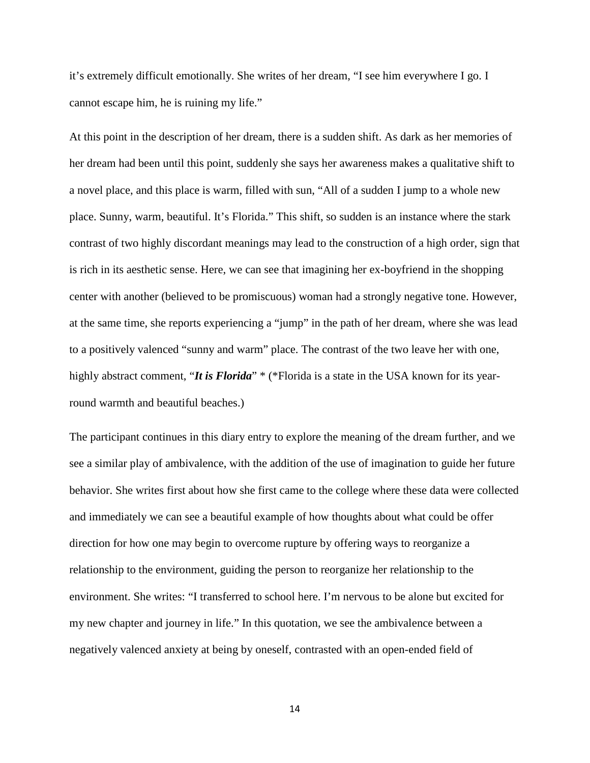it's extremely difficult emotionally. She writes of her dream, "I see him everywhere I go. I cannot escape him, he is ruining my life."

At this point in the description of her dream, there is a sudden shift. As dark as her memories of her dream had been until this point, suddenly she says her awareness makes a qualitative shift to a novel place, and this place is warm, filled with sun, "All of a sudden I jump to a whole new place. Sunny, warm, beautiful. It's Florida." This shift, so sudden is an instance where the stark contrast of two highly discordant meanings may lead to the construction of a high order, sign that is rich in its aesthetic sense. Here, we can see that imagining her ex-boyfriend in the shopping center with another (believed to be promiscuous) woman had a strongly negative tone. However, at the same time, she reports experiencing a "jump" in the path of her dream, where she was lead to a positively valenced "sunny and warm" place. The contrast of the two leave her with one, highly abstract comment, "*It is Florida*" \* (\*Florida is a state in the USA known for its yearround warmth and beautiful beaches.)

The participant continues in this diary entry to explore the meaning of the dream further, and we see a similar play of ambivalence, with the addition of the use of imagination to guide her future behavior. She writes first about how she first came to the college where these data were collected and immediately we can see a beautiful example of how thoughts about what could be offer direction for how one may begin to overcome rupture by offering ways to reorganize a relationship to the environment, guiding the person to reorganize her relationship to the environment. She writes: "I transferred to school here. I'm nervous to be alone but excited for my new chapter and journey in life." In this quotation, we see the ambivalence between a negatively valenced anxiety at being by oneself, contrasted with an open-ended field of

14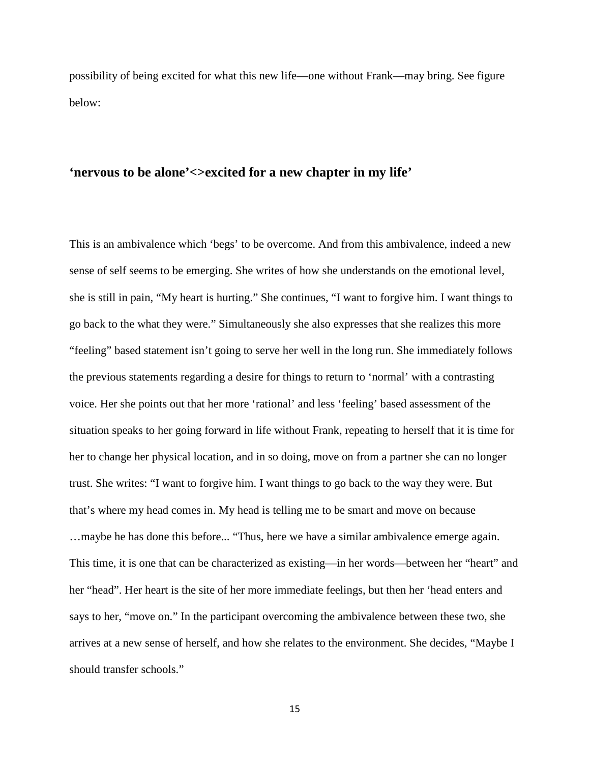possibility of being excited for what this new life—one without Frank—may bring. See figure below:

# **'nervous to be alone'<>excited for a new chapter in my life'**

This is an ambivalence which 'begs' to be overcome. And from this ambivalence, indeed a new sense of self seems to be emerging. She writes of how she understands on the emotional level, she is still in pain, "My heart is hurting." She continues, "I want to forgive him. I want things to go back to the what they were." Simultaneously she also expresses that she realizes this more "feeling" based statement isn't going to serve her well in the long run. She immediately follows the previous statements regarding a desire for things to return to 'normal' with a contrasting voice. Her she points out that her more 'rational' and less 'feeling' based assessment of the situation speaks to her going forward in life without Frank, repeating to herself that it is time for her to change her physical location, and in so doing, move on from a partner she can no longer trust. She writes: "I want to forgive him. I want things to go back to the way they were. But that's where my head comes in. My head is telling me to be smart and move on because …maybe he has done this before... "Thus, here we have a similar ambivalence emerge again. This time, it is one that can be characterized as existing—in her words—between her "heart" and her "head". Her heart is the site of her more immediate feelings, but then her 'head enters and says to her, "move on." In the participant overcoming the ambivalence between these two, she arrives at a new sense of herself, and how she relates to the environment. She decides, "Maybe I should transfer schools."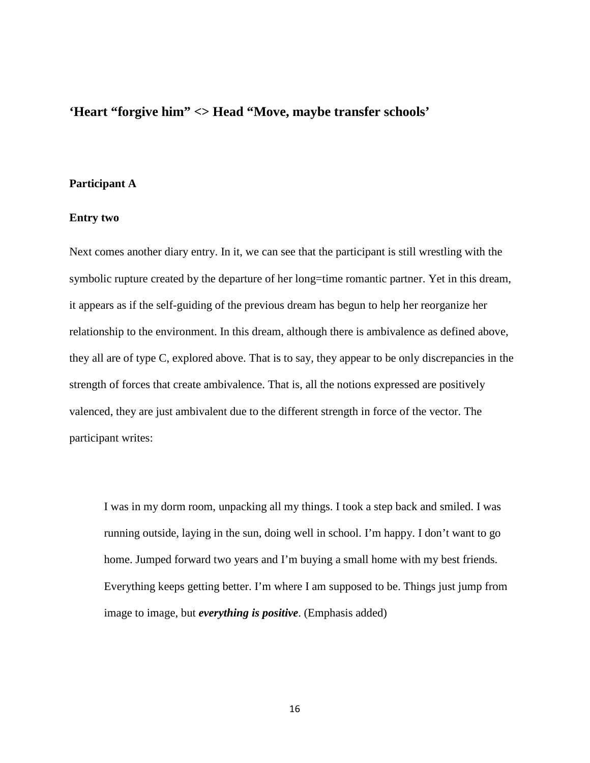# **'Heart "forgive him" <> Head "Move, maybe transfer schools'**

#### **Participant A**

#### **Entry two**

Next comes another diary entry. In it, we can see that the participant is still wrestling with the symbolic rupture created by the departure of her long=time romantic partner. Yet in this dream, it appears as if the self-guiding of the previous dream has begun to help her reorganize her relationship to the environment. In this dream, although there is ambivalence as defined above, they all are of type C, explored above. That is to say, they appear to be only discrepancies in the strength of forces that create ambivalence. That is, all the notions expressed are positively valenced, they are just ambivalent due to the different strength in force of the vector. The participant writes:

I was in my dorm room, unpacking all my things. I took a step back and smiled. I was running outside, laying in the sun, doing well in school. I'm happy. I don't want to go home. Jumped forward two years and I'm buying a small home with my best friends. Everything keeps getting better. I'm where I am supposed to be. Things just jump from image to image, but *everything is positive*. (Emphasis added)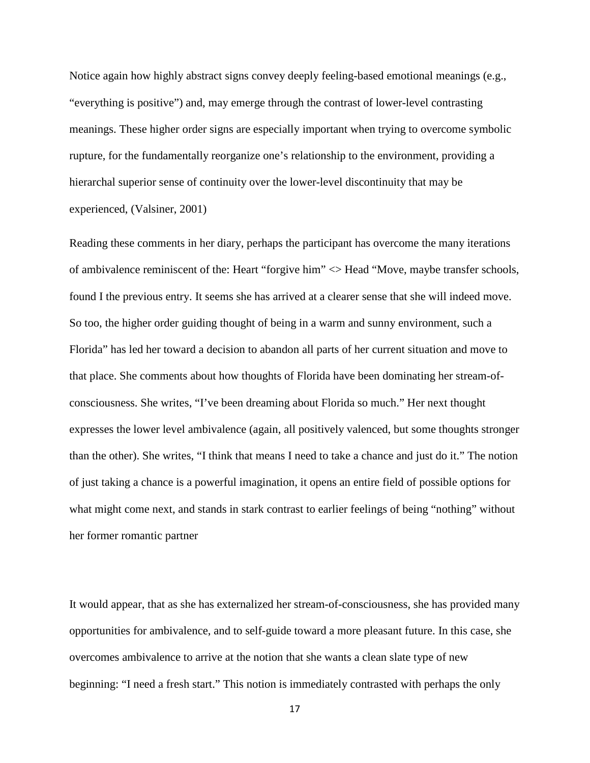Notice again how highly abstract signs convey deeply feeling-based emotional meanings (e.g., "everything is positive") and, may emerge through the contrast of lower-level contrasting meanings. These higher order signs are especially important when trying to overcome symbolic rupture, for the fundamentally reorganize one's relationship to the environment, providing a hierarchal superior sense of continuity over the lower-level discontinuity that may be experienced, (Valsiner, 2001)

Reading these comments in her diary, perhaps the participant has overcome the many iterations of ambivalence reminiscent of the: Heart "forgive him" <> Head "Move, maybe transfer schools, found I the previous entry. It seems she has arrived at a clearer sense that she will indeed move. So too, the higher order guiding thought of being in a warm and sunny environment, such a Florida" has led her toward a decision to abandon all parts of her current situation and move to that place. She comments about how thoughts of Florida have been dominating her stream-ofconsciousness. She writes, "I've been dreaming about Florida so much." Her next thought expresses the lower level ambivalence (again, all positively valenced, but some thoughts stronger than the other). She writes, "I think that means I need to take a chance and just do it." The notion of just taking a chance is a powerful imagination, it opens an entire field of possible options for what might come next, and stands in stark contrast to earlier feelings of being "nothing" without her former romantic partner

It would appear, that as she has externalized her stream-of-consciousness, she has provided many opportunities for ambivalence, and to self-guide toward a more pleasant future. In this case, she overcomes ambivalence to arrive at the notion that she wants a clean slate type of new beginning: "I need a fresh start." This notion is immediately contrasted with perhaps the only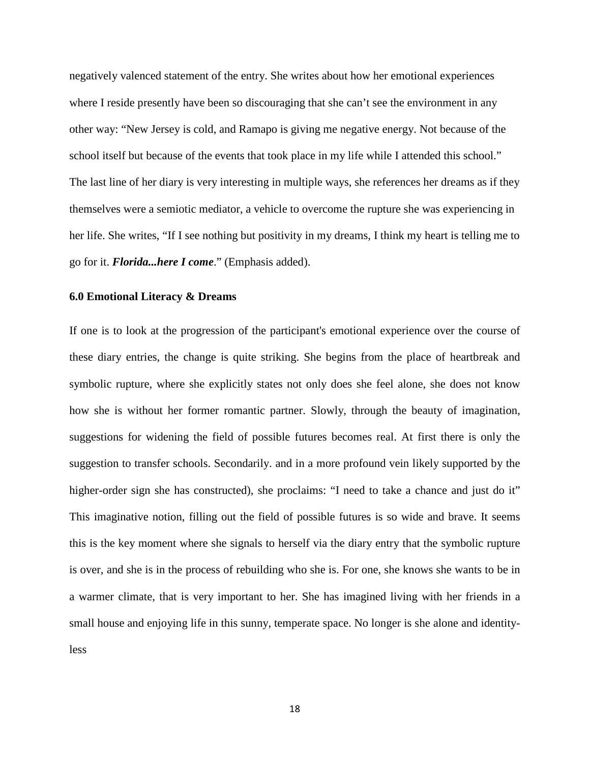negatively valenced statement of the entry. She writes about how her emotional experiences where I reside presently have been so discouraging that she can't see the environment in any other way: "New Jersey is cold, and Ramapo is giving me negative energy. Not because of the school itself but because of the events that took place in my life while I attended this school." The last line of her diary is very interesting in multiple ways, she references her dreams as if they themselves were a semiotic mediator, a vehicle to overcome the rupture she was experiencing in her life. She writes, "If I see nothing but positivity in my dreams, I think my heart is telling me to go for it. *Florida...here I come*." (Emphasis added).

#### **6.0 Emotional Literacy & Dreams**

If one is to look at the progression of the participant's emotional experience over the course of these diary entries, the change is quite striking. She begins from the place of heartbreak and symbolic rupture, where she explicitly states not only does she feel alone, she does not know how she is without her former romantic partner. Slowly, through the beauty of imagination, suggestions for widening the field of possible futures becomes real. At first there is only the suggestion to transfer schools. Secondarily. and in a more profound vein likely supported by the higher-order sign she has constructed), she proclaims: "I need to take a chance and just do it" This imaginative notion, filling out the field of possible futures is so wide and brave. It seems this is the key moment where she signals to herself via the diary entry that the symbolic rupture is over, and she is in the process of rebuilding who she is. For one, she knows she wants to be in a warmer climate, that is very important to her. She has imagined living with her friends in a small house and enjoying life in this sunny, temperate space. No longer is she alone and identityless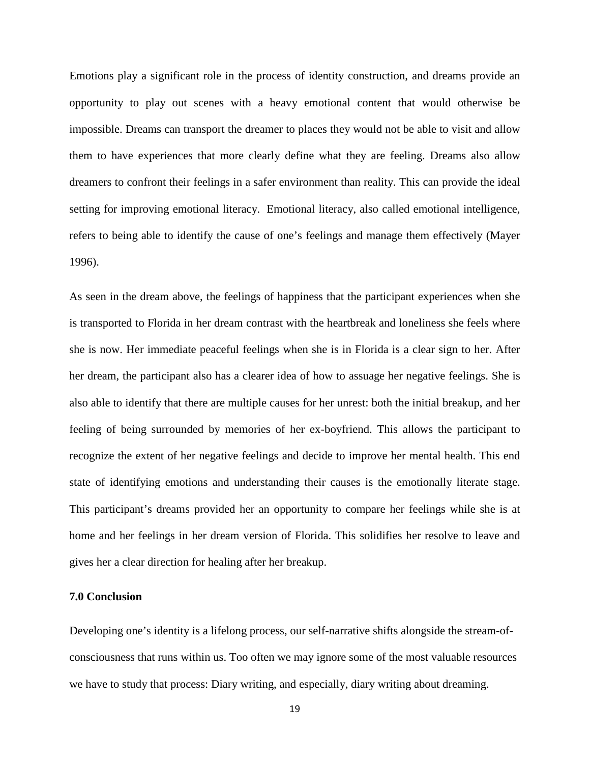Emotions play a significant role in the process of identity construction, and dreams provide an opportunity to play out scenes with a heavy emotional content that would otherwise be impossible. Dreams can transport the dreamer to places they would not be able to visit and allow them to have experiences that more clearly define what they are feeling. Dreams also allow dreamers to confront their feelings in a safer environment than reality. This can provide the ideal setting for improving emotional literacy. Emotional literacy, also called emotional intelligence, refers to being able to identify the cause of one's feelings and manage them effectively (Mayer 1996).

As seen in the dream above, the feelings of happiness that the participant experiences when she is transported to Florida in her dream contrast with the heartbreak and loneliness she feels where she is now. Her immediate peaceful feelings when she is in Florida is a clear sign to her. After her dream, the participant also has a clearer idea of how to assuage her negative feelings. She is also able to identify that there are multiple causes for her unrest: both the initial breakup, and her feeling of being surrounded by memories of her ex-boyfriend. This allows the participant to recognize the extent of her negative feelings and decide to improve her mental health. This end state of identifying emotions and understanding their causes is the emotionally literate stage. This participant's dreams provided her an opportunity to compare her feelings while she is at home and her feelings in her dream version of Florida. This solidifies her resolve to leave and gives her a clear direction for healing after her breakup.

#### **7.0 Conclusion**

Developing one's identity is a lifelong process, our self-narrative shifts alongside the stream-ofconsciousness that runs within us. Too often we may ignore some of the most valuable resources we have to study that process: Diary writing, and especially, diary writing about dreaming.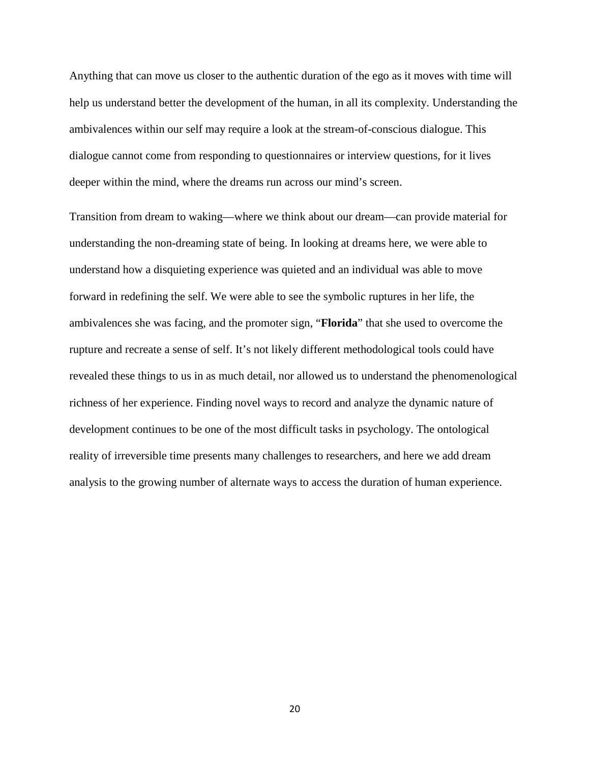Anything that can move us closer to the authentic duration of the ego as it moves with time will help us understand better the development of the human, in all its complexity. Understanding the ambivalences within our self may require a look at the stream-of-conscious dialogue. This dialogue cannot come from responding to questionnaires or interview questions, for it lives deeper within the mind, where the dreams run across our mind's screen.

Transition from dream to waking—where we think about our dream—can provide material for understanding the non-dreaming state of being. In looking at dreams here, we were able to understand how a disquieting experience was quieted and an individual was able to move forward in redefining the self. We were able to see the symbolic ruptures in her life, the ambivalences she was facing, and the promoter sign, "**Florida**" that she used to overcome the rupture and recreate a sense of self. It's not likely different methodological tools could have revealed these things to us in as much detail, nor allowed us to understand the phenomenological richness of her experience. Finding novel ways to record and analyze the dynamic nature of development continues to be one of the most difficult tasks in psychology. The ontological reality of irreversible time presents many challenges to researchers, and here we add dream analysis to the growing number of alternate ways to access the duration of human experience.

20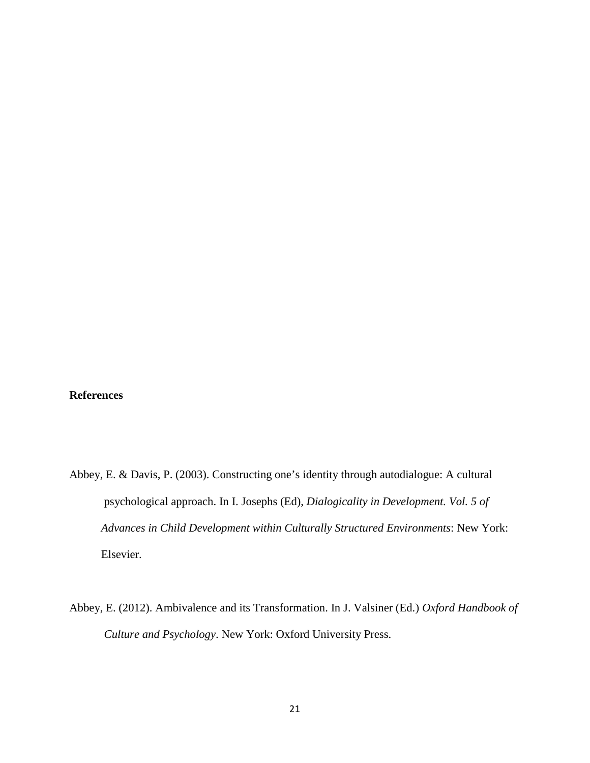# **References**

- Abbey, E. & Davis, P. (2003). Constructing one's identity through autodialogue: A cultural psychological approach. In I. Josephs (Ed), *Dialogicality in Development. Vol. 5 of Advances in Child Development within Culturally Structured Environments*: New York: Elsevier.
- Abbey, E. (2012). Ambivalence and its Transformation. In J. Valsiner (Ed.) *Oxford Handbook of Culture and Psychology*. New York: Oxford University Press.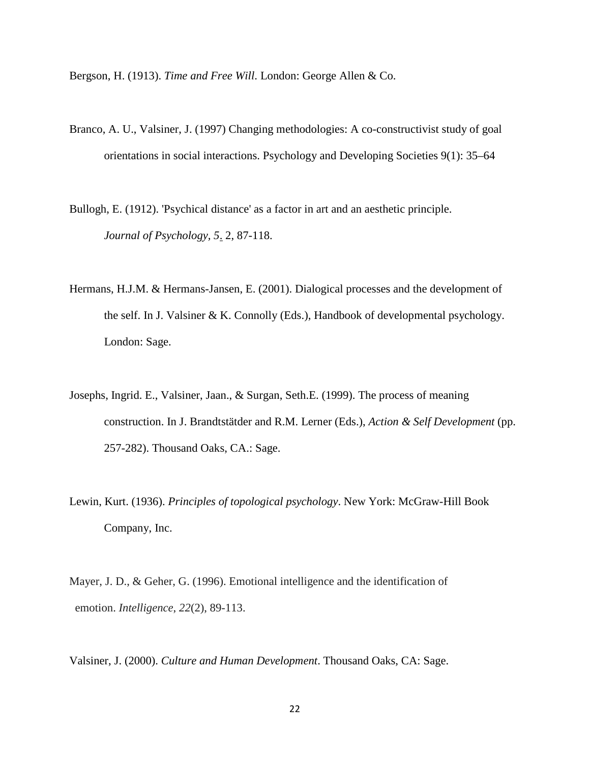Bergson, H. (1913). *Time and Free Will*. London: George Allen & Co.

- Branco, A. U., Valsiner, J. (1997) Changing methodologies: A co-constructivist study of goal orientations in social interactions. Psychology and Developing Societies 9(1): 35–64
- Bullogh, E. (1912). 'Psychical distance' as a factor in art and an aesthetic principle. *Journal of Psychology, 5*. 2, 87-118.
- Hermans, H.J.M. & Hermans-Jansen, E. (2001). Dialogical processes and the development of the self. In J. Valsiner & K. Connolly (Eds.), Handbook of developmental psychology. London: Sage.
- Josephs, Ingrid. E., Valsiner, Jaan., & Surgan, Seth.E. (1999). The process of meaning construction. In J. Brandtstätder and R.M. Lerner (Eds.), *Action & Self Development* (pp. 257-282). Thousand Oaks, CA.: Sage.
- Lewin, Kurt. (1936). *Principles of topological psychology*. New York: McGraw-Hill Book Company, Inc.
- Mayer, J. D., & Geher, G. (1996). Emotional intelligence and the identification of emotion. *Intelligence*, *22*(2), 89-113.

Valsiner, J. (2000). *Culture and Human Development*. Thousand Oaks, CA: Sage.